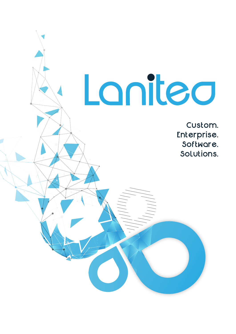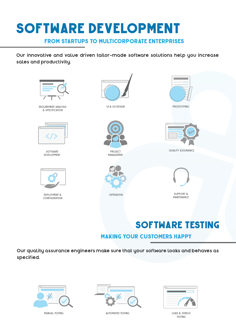# **SOFTWARE DEVELOPMENT**

#### **FROM STARTUPS TO MULTICORPORATE ENTERPRISES**

**Our innovative and value driven tailor-made software solutions help you increase sales and productivity.**



**MAKING YOUR CUSTOMERS HAPPY**

**Our quality assurance engineers make sure that your software looks and behaves as specified.** 





MANUAL TESTING AUTOMATED TESTING LOAD & STRESS



**TESTING**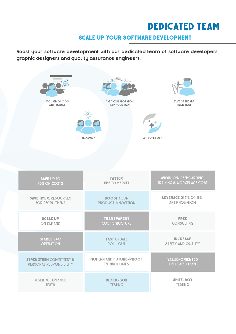### **DEDICATED TEAM**

#### **SCALE UP YOUR SOFTWARE DEVELOPMENT**

**Boost your software development with our dedicated team of software developers, graphic designers and quality assurance engineers.**

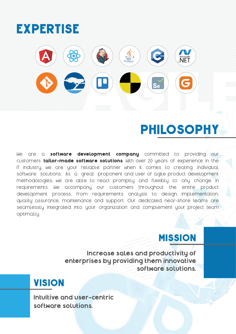## **EXPERTISE**



## **PHILOSOPHY**

We are a **software development company** committed to providing our customers **tailor-made software solutions**. With over 20 years of experience in the IT industry, we are your reliable partner when it comes to creating individual software solutions. As a great proponent and user of agile product development methodologies, we are able to react promptly and flexibly to any change in requirements. We accompany our customers throughout the entire product development process, from requirements analysis to design, implementation, quality assurance, maintenance and support. Our dedicated near-shore teams are seamlessly integrated into your organization and complement your project team optimally.

### **MISSION**

**Increase sales and productivity of enterprises by providing them innovative software solutions.**

## **VISION**

**Intuitive and user-centric software solutions.**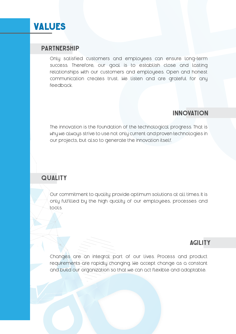

#### **PARTNERSHIP**

Only satisfied customers and employees can ensure long-term success. Therefore, our goal is to establish close and lasting relationships with our customers and employees. Open and honest communication creates trust. We listen and are grateful for any feedback.

#### **INNOVATION**

The innovation is the foundation of the technological progress. That is why we always strive to use not only current and proven technologies in our projects, but also to generate the innovation itself.

#### **QUALITY**

Our commitment to quality: provide optimum solutions at all times. It is only fulfilled by the high quality of our employees, processes and tools.

#### **AGILITY**

Changes are an integral part of our lives. Process and product requirements are rapidly changing. We accept change as a constant and build our organization so that we can act flexible and adaptable.